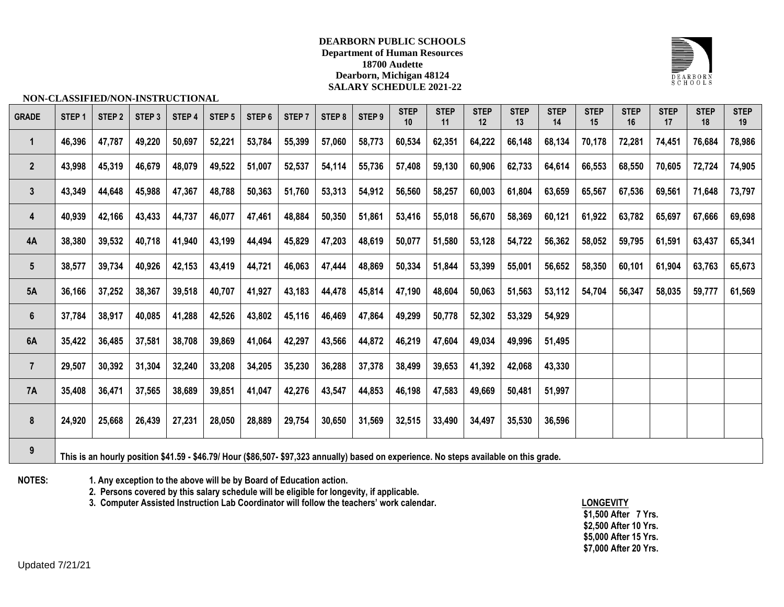## **DEARBORN PUBLIC SCHOOLS Department of Human Resources 18700 Audette Dearborn, Michigan 48124 SALARY SCHEDULE 2021-22**



### **NON-CLASSIFIED/NON-INSTRUCTIONAL**

| <b>GRADE</b>    | STEP <sub>1</sub> | STEP <sub>2</sub> | STEP <sub>3</sub> | STEP 4 | STEP <sub>5</sub> | STEP <sub>6</sub>                                                    | STEP <sub>7</sub> | STEP 8 | STEP 9 | <b>STEP</b><br>10 | <b>STEP</b><br>11 | <b>STEP</b><br>12 | <b>STEP</b><br>13 | <b>STEP</b><br>14 | <b>STEP</b><br>15 | <b>STEP</b><br>16 | <b>STEP</b><br>17 | <b>STEP</b><br>18 | <b>STEP</b><br>19 |
|-----------------|-------------------|-------------------|-------------------|--------|-------------------|----------------------------------------------------------------------|-------------------|--------|--------|-------------------|-------------------|-------------------|-------------------|-------------------|-------------------|-------------------|-------------------|-------------------|-------------------|
| $\mathbf{1}$    | 46,396            | 47,787            | 49,220            | 50,697 | 52,221            | 53,784                                                               | 55,399            | 57,060 | 58,773 | 60,534            | 62,351            | 64,222            | 66,148            | 68,134            | 70,178            | 72,281            | 74,451            | 76,684            | 78,986            |
| $\overline{2}$  | 43,998            | 45,319            | 46,679            | 48,079 | 49,522            | 51,007                                                               | 52,537            | 54,114 | 55,736 | 57,408            | 59,130            | 60,906            | 62,733            | 64,614            | 66,553            | 68,550            | 70,605            | 72,724            | 74,905            |
| $\mathbf{3}$    | 43,349            | 44,648            | 45,988            | 47,367 | 48,788            | 50,363                                                               | 51,760            | 53,313 | 54,912 | 56,560            | 58,257            | 60,003            | 61,804            | 63,659            | 65,567            | 67,536            | 69,561            | 71,648            | 73,797            |
| 4               | 40,939            | 42,166            | 43,433            | 44,737 | 46,077            | 47,461                                                               | 48,884            | 50,350 | 51,861 | 53,416            | 55,018            | 56,670            | 58,369            | 60,121            | 61,922            | 63,782            | 65,697            | 67,666            | 69,698            |
| 4A              | 38,380            | 39,532            | 40,718            | 41,940 | 43,199            | 44,494                                                               | 45,829            | 47,203 | 48,619 | 50,077            | 51,580            | 53,128            | 54,722            | 56,362            | 58,052            | 59,795            | 61,591            | 63,437            | 65,341            |
| $5\phantom{.0}$ | 38,577            | 39,734            | 40,926            | 42,153 | 43,419            | 44,721                                                               | 46,063            | 47,444 | 48,869 | 50,334            | 51,844            | 53,399            | 55,001            | 56,652            | 58,350            | 60,101            | 61,904            | 63,763            | 65,673            |
| 5A              | 36,166            | 37,252            | 38,367            | 39,518 | 40,707            | 41,927                                                               | 43,183            | 44,478 | 45,814 | 47,190            | 48,604            | 50,063            | 51,563            | 53,112            | 54,704            | 56,347            | 58,035            | 59,777            | 61,569            |
| $6\phantom{a}$  | 37,784            | 38,917            | 40,085            | 41,288 | 42,526            | 43,802                                                               | 45,116            | 46,469 | 47,864 | 49,299            | 50,778            | 52,302            | 53,329            | 54,929            |                   |                   |                   |                   |                   |
| 6A              | 35,422            | 36,485            | 37,581            | 38,708 | 39,869            | 41,064                                                               | 42,297            | 43,566 | 44,872 | 46,219            | 47,604            | 49,034            | 49,996            | 51,495            |                   |                   |                   |                   |                   |
| $\overline{7}$  | 29,507            | 30,392            | 31,304            | 32,240 | 33,208            | 34,205                                                               | 35,230            | 36,288 | 37,378 | 38,499            | 39,653            | 41,392            | 42,068            | 43,330            |                   |                   |                   |                   |                   |
| 7A              | 35,408            | 36,471            | 37,565            | 38,689 | 39,851            | 41,047                                                               | 42,276            | 43,547 | 44,853 | 46,198            | 47,583            | 49,669            | 50,481            | 51,997            |                   |                   |                   |                   |                   |
| 8               | 24,920            | 25,668            | 26,439            | 27,231 | 28,050            | 28,889                                                               | 29,754            | 30,650 | 31,569 | 32,515            | 33,490            | 34,497            | 35,530            | 36,596            |                   |                   |                   |                   |                   |
| 9               |                   |                   |                   |        |                   | $A A B B A I I I. A A B B A B B B A B A B A A B A A B A I. I. I. I.$ |                   |        |        |                   |                   |                   |                   |                   |                   |                   |                   |                   |                   |

**This is an hourly position \$41.59 - \$46.79/ Hour (\$86,507- \$97,323 annually) based on experience. No steps available on this grade.**

**NOTES: 1. Any exception to the above will be by Board of Education action.**

**2. Persons covered by this salary schedule will be eligible for longevity, if applicable.**

**3. Computer Assisted Instruction Lab Coordinator will follow the teachers' work calendar. LONGEVITY**

**\$1,500 After 7 Yrs. \$2,500 After 10 Yrs. \$5,000 After 15 Yrs. \$7,000 After 20 Yrs.**